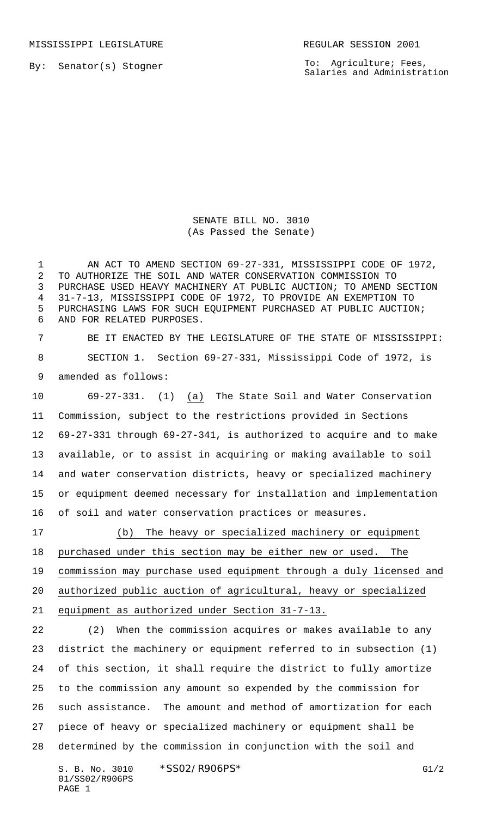MISSISSIPPI LEGISLATURE **REGULAR SESSION 2001** 

By: Senator(s) Stogner

To: Agriculture; Fees, Salaries and Administration

SENATE BILL NO. 3010 (As Passed the Senate)

1 AN ACT TO AMEND SECTION 69-27-331, MISSISSIPPI CODE OF 1972, TO AUTHORIZE THE SOIL AND WATER CONSERVATION COMMISSION TO PURCHASE USED HEAVY MACHINERY AT PUBLIC AUCTION; TO AMEND SECTION 31-7-13, MISSISSIPPI CODE OF 1972, TO PROVIDE AN EXEMPTION TO PURCHASING LAWS FOR SUCH EQUIPMENT PURCHASED AT PUBLIC AUCTION; AND FOR RELATED PURPOSES.

 BE IT ENACTED BY THE LEGISLATURE OF THE STATE OF MISSISSIPPI: SECTION 1. Section 69-27-331, Mississippi Code of 1972, is amended as follows:

 69-27-331. (1) (a) The State Soil and Water Conservation Commission, subject to the restrictions provided in Sections 69-27-331 through 69-27-341, is authorized to acquire and to make available, or to assist in acquiring or making available to soil and water conservation districts, heavy or specialized machinery or equipment deemed necessary for installation and implementation of soil and water conservation practices or measures.

 (b) The heavy or specialized machinery or equipment purchased under this section may be either new or used. The commission may purchase used equipment through a duly licensed and authorized public auction of agricultural, heavy or specialized equipment as authorized under Section 31-7-13.

 (2) When the commission acquires or makes available to any district the machinery or equipment referred to in subsection (1) of this section, it shall require the district to fully amortize to the commission any amount so expended by the commission for such assistance. The amount and method of amortization for each piece of heavy or specialized machinery or equipment shall be determined by the commission in conjunction with the soil and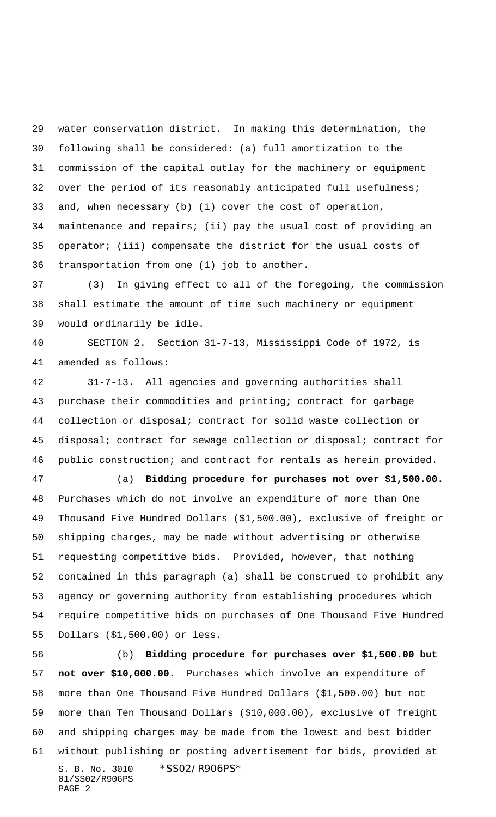water conservation district. In making this determination, the following shall be considered: (a) full amortization to the commission of the capital outlay for the machinery or equipment over the period of its reasonably anticipated full usefulness; and, when necessary (b) (i) cover the cost of operation, maintenance and repairs; (ii) pay the usual cost of providing an operator; (iii) compensate the district for the usual costs of transportation from one (1) job to another.

 (3) In giving effect to all of the foregoing, the commission shall estimate the amount of time such machinery or equipment would ordinarily be idle.

 SECTION 2. Section 31-7-13, Mississippi Code of 1972, is amended as follows:

 31-7-13. All agencies and governing authorities shall purchase their commodities and printing; contract for garbage collection or disposal; contract for solid waste collection or disposal; contract for sewage collection or disposal; contract for public construction; and contract for rentals as herein provided.

 (a) **Bidding procedure for purchases not over \$1,500.00.** Purchases which do not involve an expenditure of more than One Thousand Five Hundred Dollars (\$1,500.00), exclusive of freight or shipping charges, may be made without advertising or otherwise requesting competitive bids. Provided, however, that nothing contained in this paragraph (a) shall be construed to prohibit any agency or governing authority from establishing procedures which require competitive bids on purchases of One Thousand Five Hundred Dollars (\$1,500.00) or less.

S. B. No. 3010 \*SS02/R906PS\* 01/SS02/R906PS PAGE 2 (b) **Bidding procedure for purchases over \$1,500.00 but not over \$10,000.00.** Purchases which involve an expenditure of more than One Thousand Five Hundred Dollars (\$1,500.00) but not more than Ten Thousand Dollars (\$10,000.00), exclusive of freight and shipping charges may be made from the lowest and best bidder without publishing or posting advertisement for bids, provided at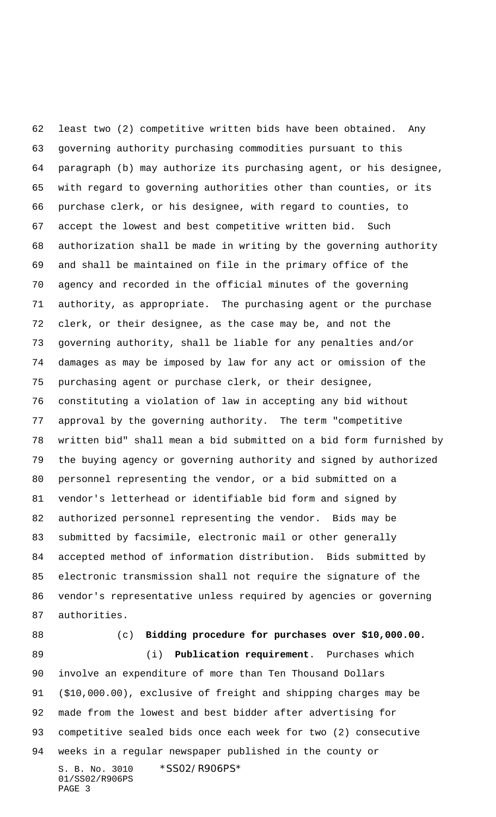least two (2) competitive written bids have been obtained. Any governing authority purchasing commodities pursuant to this paragraph (b) may authorize its purchasing agent, or his designee, with regard to governing authorities other than counties, or its purchase clerk, or his designee, with regard to counties, to accept the lowest and best competitive written bid. Such authorization shall be made in writing by the governing authority and shall be maintained on file in the primary office of the agency and recorded in the official minutes of the governing authority, as appropriate. The purchasing agent or the purchase clerk, or their designee, as the case may be, and not the governing authority, shall be liable for any penalties and/or damages as may be imposed by law for any act or omission of the purchasing agent or purchase clerk, or their designee, constituting a violation of law in accepting any bid without approval by the governing authority. The term "competitive written bid" shall mean a bid submitted on a bid form furnished by the buying agency or governing authority and signed by authorized personnel representing the vendor, or a bid submitted on a vendor's letterhead or identifiable bid form and signed by authorized personnel representing the vendor. Bids may be submitted by facsimile, electronic mail or other generally accepted method of information distribution. Bids submitted by electronic transmission shall not require the signature of the vendor's representative unless required by agencies or governing authorities.

## (c) **Bidding procedure for purchases over \$10,000.00.**

S. B. No. 3010 \*SS02/R906PS\* 01/SS02/R906PS PAGE 3 (i) **Publication requirement**. Purchases which involve an expenditure of more than Ten Thousand Dollars (\$10,000.00), exclusive of freight and shipping charges may be made from the lowest and best bidder after advertising for competitive sealed bids once each week for two (2) consecutive weeks in a regular newspaper published in the county or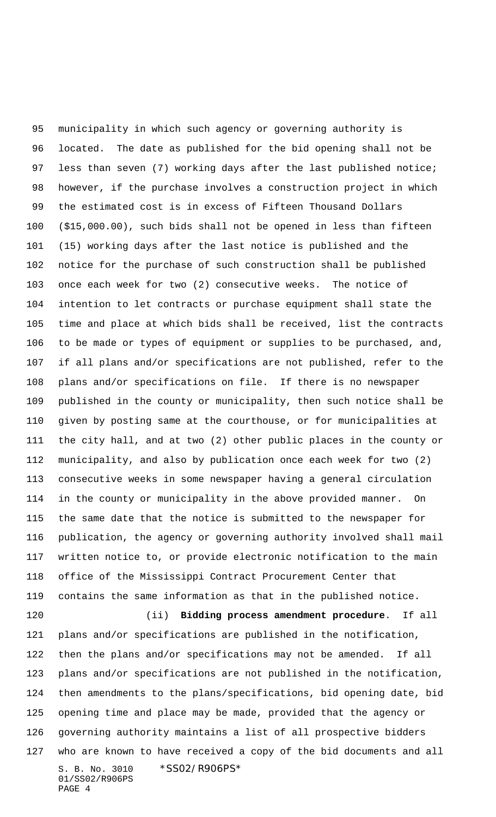S. B. No. 3010 \*SS02/R906PS\* 01/SS02/R906PS municipality in which such agency or governing authority is located. The date as published for the bid opening shall not be less than seven (7) working days after the last published notice; however, if the purchase involves a construction project in which the estimated cost is in excess of Fifteen Thousand Dollars (\$15,000.00), such bids shall not be opened in less than fifteen (15) working days after the last notice is published and the notice for the purchase of such construction shall be published once each week for two (2) consecutive weeks. The notice of intention to let contracts or purchase equipment shall state the time and place at which bids shall be received, list the contracts to be made or types of equipment or supplies to be purchased, and, if all plans and/or specifications are not published, refer to the plans and/or specifications on file. If there is no newspaper published in the county or municipality, then such notice shall be given by posting same at the courthouse, or for municipalities at the city hall, and at two (2) other public places in the county or municipality, and also by publication once each week for two (2) consecutive weeks in some newspaper having a general circulation in the county or municipality in the above provided manner. On the same date that the notice is submitted to the newspaper for publication, the agency or governing authority involved shall mail written notice to, or provide electronic notification to the main office of the Mississippi Contract Procurement Center that contains the same information as that in the published notice. (ii) **Bidding process amendment procedure**. If all plans and/or specifications are published in the notification, then the plans and/or specifications may not be amended. If all plans and/or specifications are not published in the notification, then amendments to the plans/specifications, bid opening date, bid opening time and place may be made, provided that the agency or governing authority maintains a list of all prospective bidders who are known to have received a copy of the bid documents and all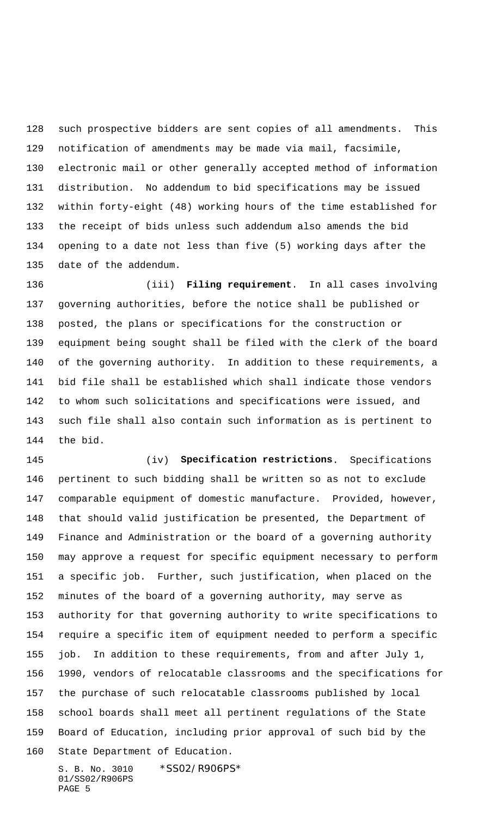such prospective bidders are sent copies of all amendments. This notification of amendments may be made via mail, facsimile, electronic mail or other generally accepted method of information distribution. No addendum to bid specifications may be issued within forty-eight (48) working hours of the time established for the receipt of bids unless such addendum also amends the bid opening to a date not less than five (5) working days after the date of the addendum.

 (iii) **Filing requirement**. In all cases involving governing authorities, before the notice shall be published or posted, the plans or specifications for the construction or equipment being sought shall be filed with the clerk of the board of the governing authority. In addition to these requirements, a bid file shall be established which shall indicate those vendors to whom such solicitations and specifications were issued, and such file shall also contain such information as is pertinent to the bid.

 (iv) **Specification restrictions**. Specifications pertinent to such bidding shall be written so as not to exclude comparable equipment of domestic manufacture. Provided, however, that should valid justification be presented, the Department of Finance and Administration or the board of a governing authority may approve a request for specific equipment necessary to perform a specific job. Further, such justification, when placed on the minutes of the board of a governing authority, may serve as authority for that governing authority to write specifications to require a specific item of equipment needed to perform a specific job. In addition to these requirements, from and after July 1, 1990, vendors of relocatable classrooms and the specifications for the purchase of such relocatable classrooms published by local school boards shall meet all pertinent regulations of the State Board of Education, including prior approval of such bid by the State Department of Education.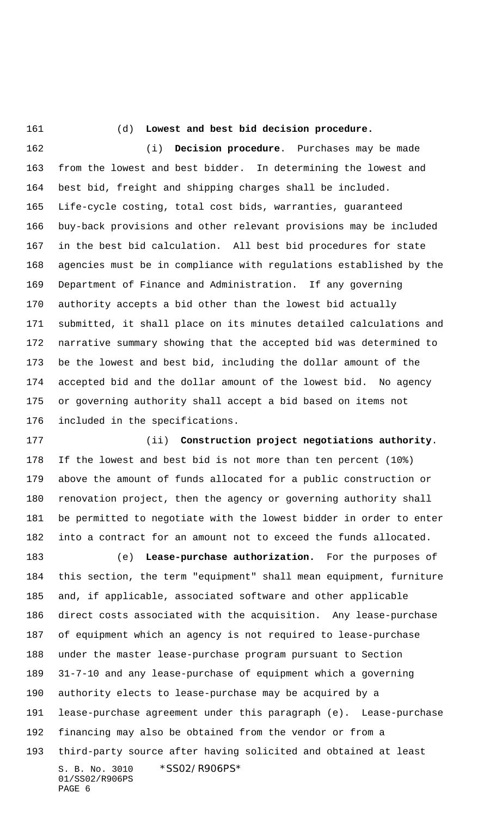## (d) **Lowest and best bid decision procedure.**

 (i) **Decision procedure**. Purchases may be made from the lowest and best bidder. In determining the lowest and best bid, freight and shipping charges shall be included. Life-cycle costing, total cost bids, warranties, guaranteed buy-back provisions and other relevant provisions may be included in the best bid calculation. All best bid procedures for state agencies must be in compliance with regulations established by the Department of Finance and Administration. If any governing authority accepts a bid other than the lowest bid actually submitted, it shall place on its minutes detailed calculations and narrative summary showing that the accepted bid was determined to be the lowest and best bid, including the dollar amount of the accepted bid and the dollar amount of the lowest bid. No agency or governing authority shall accept a bid based on items not included in the specifications.

 (ii) **Construction project negotiations authority**. If the lowest and best bid is not more than ten percent (10%) above the amount of funds allocated for a public construction or renovation project, then the agency or governing authority shall be permitted to negotiate with the lowest bidder in order to enter into a contract for an amount not to exceed the funds allocated.

S. B. No. 3010 \*SS02/R906PS\* 01/SS02/R906PS PAGE 6 (e) **Lease-purchase authorization.** For the purposes of this section, the term "equipment" shall mean equipment, furniture and, if applicable, associated software and other applicable direct costs associated with the acquisition. Any lease-purchase of equipment which an agency is not required to lease-purchase under the master lease-purchase program pursuant to Section 31-7-10 and any lease-purchase of equipment which a governing authority elects to lease-purchase may be acquired by a lease-purchase agreement under this paragraph (e). Lease-purchase financing may also be obtained from the vendor or from a third-party source after having solicited and obtained at least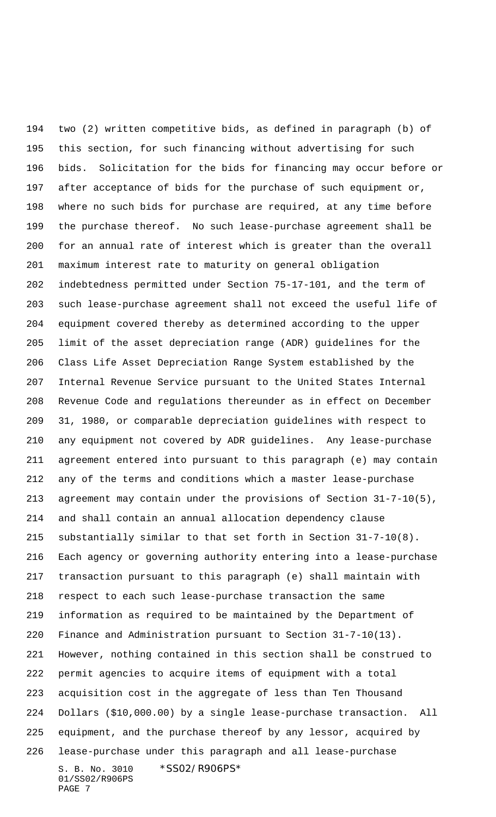S. B. No. 3010 \*SS02/R906PS\* 01/SS02/R906PS two (2) written competitive bids, as defined in paragraph (b) of this section, for such financing without advertising for such bids. Solicitation for the bids for financing may occur before or after acceptance of bids for the purchase of such equipment or, where no such bids for purchase are required, at any time before the purchase thereof. No such lease-purchase agreement shall be for an annual rate of interest which is greater than the overall maximum interest rate to maturity on general obligation indebtedness permitted under Section 75-17-101, and the term of such lease-purchase agreement shall not exceed the useful life of equipment covered thereby as determined according to the upper limit of the asset depreciation range (ADR) guidelines for the Class Life Asset Depreciation Range System established by the Internal Revenue Service pursuant to the United States Internal Revenue Code and regulations thereunder as in effect on December 31, 1980, or comparable depreciation guidelines with respect to any equipment not covered by ADR guidelines. Any lease-purchase agreement entered into pursuant to this paragraph (e) may contain any of the terms and conditions which a master lease-purchase agreement may contain under the provisions of Section 31-7-10(5), and shall contain an annual allocation dependency clause substantially similar to that set forth in Section 31-7-10(8). Each agency or governing authority entering into a lease-purchase transaction pursuant to this paragraph (e) shall maintain with respect to each such lease-purchase transaction the same information as required to be maintained by the Department of Finance and Administration pursuant to Section 31-7-10(13). However, nothing contained in this section shall be construed to permit agencies to acquire items of equipment with a total acquisition cost in the aggregate of less than Ten Thousand Dollars (\$10,000.00) by a single lease-purchase transaction. All equipment, and the purchase thereof by any lessor, acquired by lease-purchase under this paragraph and all lease-purchase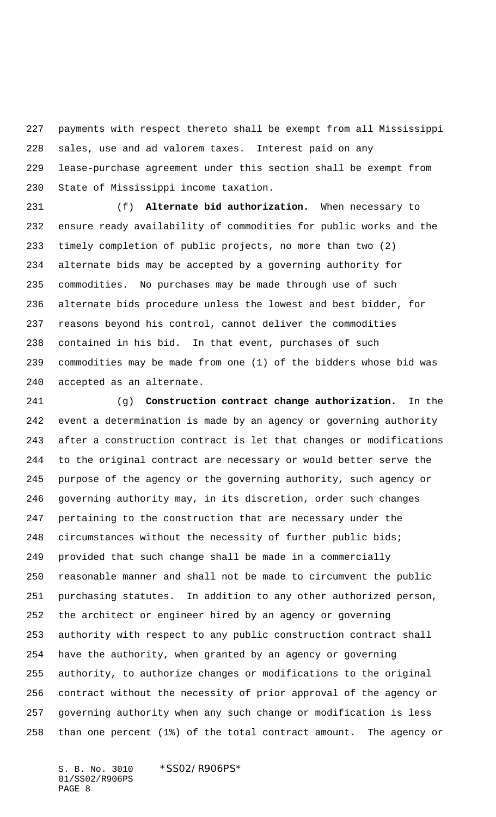payments with respect thereto shall be exempt from all Mississippi sales, use and ad valorem taxes. Interest paid on any lease-purchase agreement under this section shall be exempt from State of Mississippi income taxation.

 (f) **Alternate bid authorization.** When necessary to ensure ready availability of commodities for public works and the timely completion of public projects, no more than two (2) alternate bids may be accepted by a governing authority for commodities. No purchases may be made through use of such alternate bids procedure unless the lowest and best bidder, for reasons beyond his control, cannot deliver the commodities contained in his bid. In that event, purchases of such commodities may be made from one (1) of the bidders whose bid was accepted as an alternate.

 (g) **Construction contract change authorization.** In the event a determination is made by an agency or governing authority after a construction contract is let that changes or modifications to the original contract are necessary or would better serve the purpose of the agency or the governing authority, such agency or governing authority may, in its discretion, order such changes pertaining to the construction that are necessary under the circumstances without the necessity of further public bids; provided that such change shall be made in a commercially reasonable manner and shall not be made to circumvent the public purchasing statutes. In addition to any other authorized person, the architect or engineer hired by an agency or governing authority with respect to any public construction contract shall have the authority, when granted by an agency or governing authority, to authorize changes or modifications to the original contract without the necessity of prior approval of the agency or governing authority when any such change or modification is less than one percent (1%) of the total contract amount. The agency or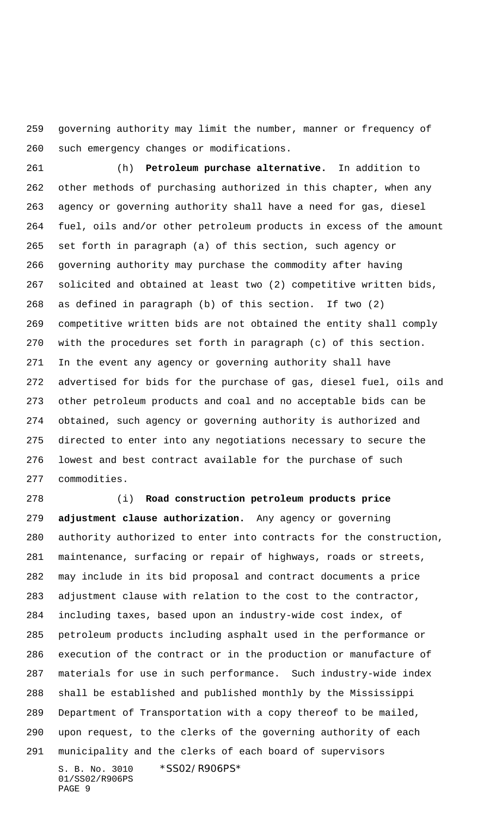governing authority may limit the number, manner or frequency of such emergency changes or modifications.

 (h) **Petroleum purchase alternative.** In addition to other methods of purchasing authorized in this chapter, when any agency or governing authority shall have a need for gas, diesel fuel, oils and/or other petroleum products in excess of the amount set forth in paragraph (a) of this section, such agency or governing authority may purchase the commodity after having solicited and obtained at least two (2) competitive written bids, as defined in paragraph (b) of this section. If two (2) competitive written bids are not obtained the entity shall comply with the procedures set forth in paragraph (c) of this section. In the event any agency or governing authority shall have advertised for bids for the purchase of gas, diesel fuel, oils and other petroleum products and coal and no acceptable bids can be obtained, such agency or governing authority is authorized and directed to enter into any negotiations necessary to secure the lowest and best contract available for the purchase of such commodities.

S. B. No. 3010 \*SS02/R906PS\* 01/SS02/R906PS (i) **Road construction petroleum products price adjustment clause authorization.** Any agency or governing authority authorized to enter into contracts for the construction, maintenance, surfacing or repair of highways, roads or streets, may include in its bid proposal and contract documents a price adjustment clause with relation to the cost to the contractor, including taxes, based upon an industry-wide cost index, of petroleum products including asphalt used in the performance or execution of the contract or in the production or manufacture of materials for use in such performance. Such industry-wide index shall be established and published monthly by the Mississippi Department of Transportation with a copy thereof to be mailed, upon request, to the clerks of the governing authority of each municipality and the clerks of each board of supervisors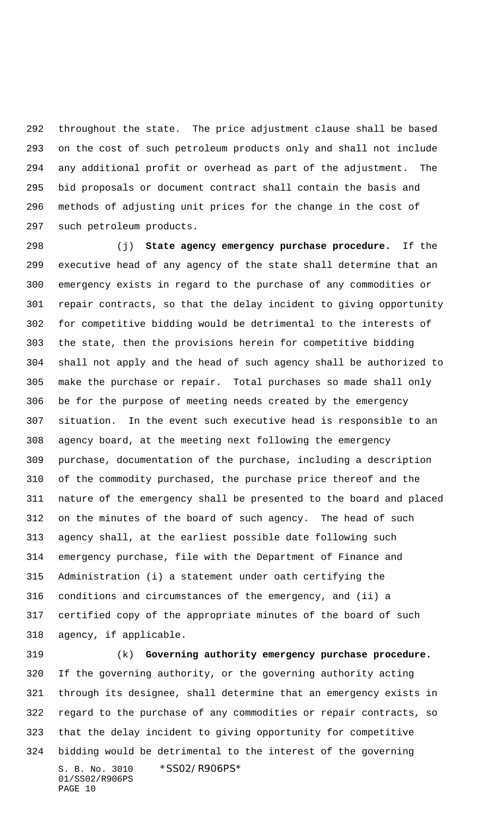throughout the state. The price adjustment clause shall be based on the cost of such petroleum products only and shall not include any additional profit or overhead as part of the adjustment. The bid proposals or document contract shall contain the basis and methods of adjusting unit prices for the change in the cost of such petroleum products.

 (j) **State agency emergency purchase procedure.** If the executive head of any agency of the state shall determine that an emergency exists in regard to the purchase of any commodities or repair contracts, so that the delay incident to giving opportunity for competitive bidding would be detrimental to the interests of the state, then the provisions herein for competitive bidding shall not apply and the head of such agency shall be authorized to make the purchase or repair. Total purchases so made shall only be for the purpose of meeting needs created by the emergency situation. In the event such executive head is responsible to an agency board, at the meeting next following the emergency purchase, documentation of the purchase, including a description of the commodity purchased, the purchase price thereof and the nature of the emergency shall be presented to the board and placed on the minutes of the board of such agency. The head of such agency shall, at the earliest possible date following such emergency purchase, file with the Department of Finance and Administration (i) a statement under oath certifying the conditions and circumstances of the emergency, and (ii) a certified copy of the appropriate minutes of the board of such agency, if applicable.

S. B. No. 3010 \*SS02/R906PS\* 01/SS02/R906PS PAGE 10 (k) **Governing authority emergency purchase procedure.** If the governing authority, or the governing authority acting through its designee, shall determine that an emergency exists in regard to the purchase of any commodities or repair contracts, so that the delay incident to giving opportunity for competitive bidding would be detrimental to the interest of the governing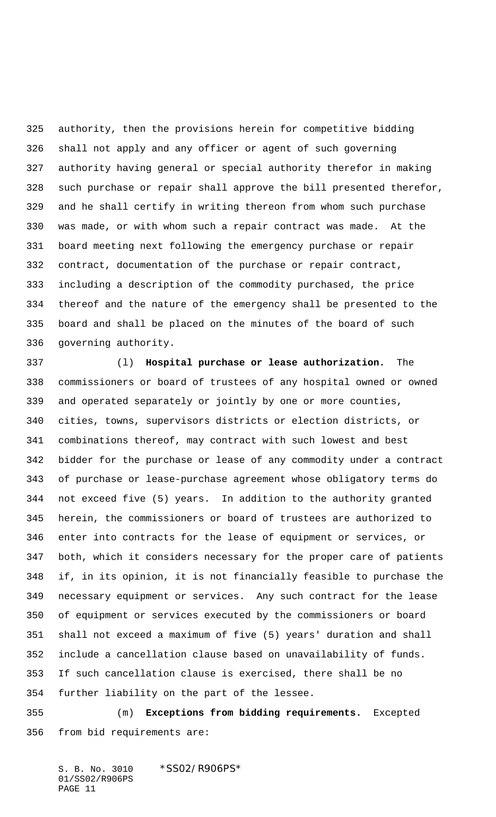authority, then the provisions herein for competitive bidding shall not apply and any officer or agent of such governing authority having general or special authority therefor in making such purchase or repair shall approve the bill presented therefor, and he shall certify in writing thereon from whom such purchase was made, or with whom such a repair contract was made. At the board meeting next following the emergency purchase or repair contract, documentation of the purchase or repair contract, including a description of the commodity purchased, the price thereof and the nature of the emergency shall be presented to the board and shall be placed on the minutes of the board of such governing authority.

 (l) **Hospital purchase or lease authorization.** The commissioners or board of trustees of any hospital owned or owned and operated separately or jointly by one or more counties, cities, towns, supervisors districts or election districts, or combinations thereof, may contract with such lowest and best bidder for the purchase or lease of any commodity under a contract of purchase or lease-purchase agreement whose obligatory terms do not exceed five (5) years. In addition to the authority granted herein, the commissioners or board of trustees are authorized to enter into contracts for the lease of equipment or services, or both, which it considers necessary for the proper care of patients if, in its opinion, it is not financially feasible to purchase the necessary equipment or services. Any such contract for the lease of equipment or services executed by the commissioners or board shall not exceed a maximum of five (5) years' duration and shall include a cancellation clause based on unavailability of funds. If such cancellation clause is exercised, there shall be no further liability on the part of the lessee.

 (m) **Exceptions from bidding requirements.** Excepted from bid requirements are: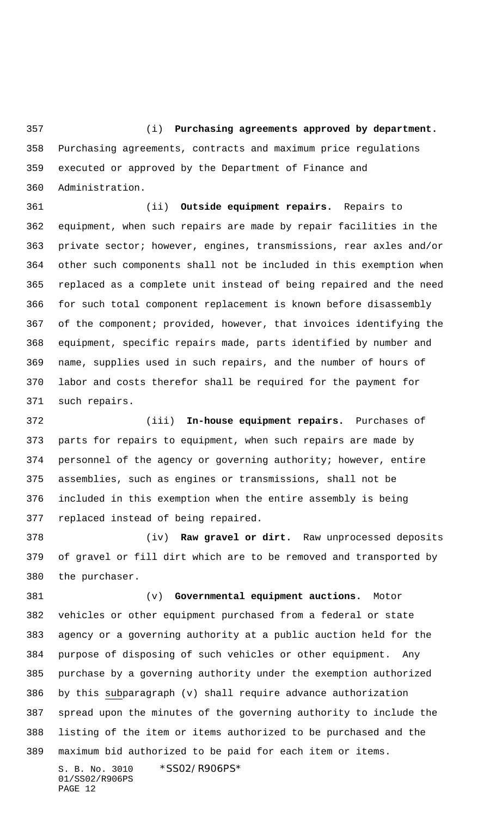(i) **Purchasing agreements approved by department.** Purchasing agreements, contracts and maximum price regulations executed or approved by the Department of Finance and Administration.

 (ii) **Outside equipment repairs.** Repairs to equipment, when such repairs are made by repair facilities in the private sector; however, engines, transmissions, rear axles and/or other such components shall not be included in this exemption when replaced as a complete unit instead of being repaired and the need for such total component replacement is known before disassembly of the component; provided, however, that invoices identifying the equipment, specific repairs made, parts identified by number and name, supplies used in such repairs, and the number of hours of labor and costs therefor shall be required for the payment for such repairs.

 (iii) **In-house equipment repairs.** Purchases of parts for repairs to equipment, when such repairs are made by personnel of the agency or governing authority; however, entire assemblies, such as engines or transmissions, shall not be included in this exemption when the entire assembly is being replaced instead of being repaired.

 (iv) **Raw gravel or dirt.** Raw unprocessed deposits of gravel or fill dirt which are to be removed and transported by the purchaser.

 (v) **Governmental equipment auctions.** Motor vehicles or other equipment purchased from a federal or state agency or a governing authority at a public auction held for the purpose of disposing of such vehicles or other equipment. Any purchase by a governing authority under the exemption authorized by this subparagraph (v) shall require advance authorization spread upon the minutes of the governing authority to include the listing of the item or items authorized to be purchased and the maximum bid authorized to be paid for each item or items.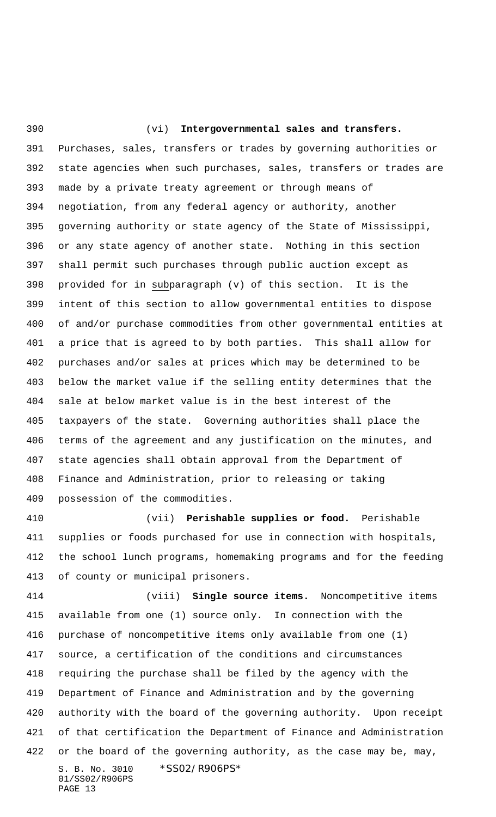(vi) **Intergovernmental sales and transfers.** Purchases, sales, transfers or trades by governing authorities or state agencies when such purchases, sales, transfers or trades are made by a private treaty agreement or through means of negotiation, from any federal agency or authority, another governing authority or state agency of the State of Mississippi, or any state agency of another state. Nothing in this section shall permit such purchases through public auction except as provided for in subparagraph (v) of this section. It is the intent of this section to allow governmental entities to dispose of and/or purchase commodities from other governmental entities at a price that is agreed to by both parties. This shall allow for purchases and/or sales at prices which may be determined to be below the market value if the selling entity determines that the sale at below market value is in the best interest of the taxpayers of the state. Governing authorities shall place the terms of the agreement and any justification on the minutes, and state agencies shall obtain approval from the Department of Finance and Administration, prior to releasing or taking possession of the commodities.

 (vii) **Perishable supplies or food.** Perishable supplies or foods purchased for use in connection with hospitals, the school lunch programs, homemaking programs and for the feeding of county or municipal prisoners.

S. B. No. 3010 \*SS02/R906PS\* 01/SS02/R906PS PAGE 13 (viii) **Single source items.** Noncompetitive items available from one (1) source only. In connection with the purchase of noncompetitive items only available from one (1) source, a certification of the conditions and circumstances requiring the purchase shall be filed by the agency with the Department of Finance and Administration and by the governing authority with the board of the governing authority. Upon receipt of that certification the Department of Finance and Administration 422 or the board of the governing authority, as the case may be, may,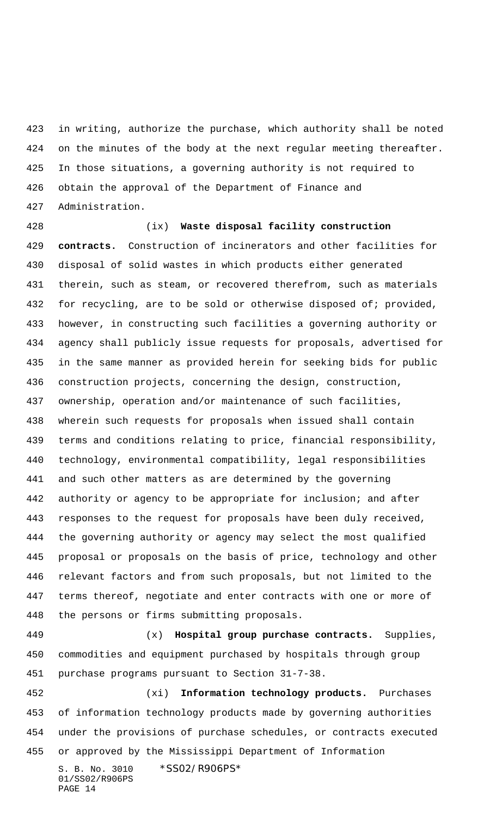in writing, authorize the purchase, which authority shall be noted on the minutes of the body at the next regular meeting thereafter. In those situations, a governing authority is not required to obtain the approval of the Department of Finance and Administration.

 (ix) **Waste disposal facility construction contracts.** Construction of incinerators and other facilities for disposal of solid wastes in which products either generated therein, such as steam, or recovered therefrom, such as materials 432 for recycling, are to be sold or otherwise disposed of; provided, however, in constructing such facilities a governing authority or agency shall publicly issue requests for proposals, advertised for in the same manner as provided herein for seeking bids for public construction projects, concerning the design, construction, ownership, operation and/or maintenance of such facilities, wherein such requests for proposals when issued shall contain terms and conditions relating to price, financial responsibility, technology, environmental compatibility, legal responsibilities and such other matters as are determined by the governing authority or agency to be appropriate for inclusion; and after responses to the request for proposals have been duly received, the governing authority or agency may select the most qualified proposal or proposals on the basis of price, technology and other relevant factors and from such proposals, but not limited to the terms thereof, negotiate and enter contracts with one or more of the persons or firms submitting proposals.

 (x) **Hospital group purchase contracts.** Supplies, commodities and equipment purchased by hospitals through group purchase programs pursuant to Section 31-7-38.

S. B. No. 3010 \*SS02/R906PS\* 01/SS02/R906PS (xi) **Information technology products.** Purchases of information technology products made by governing authorities under the provisions of purchase schedules, or contracts executed or approved by the Mississippi Department of Information

```
PAGE 14
```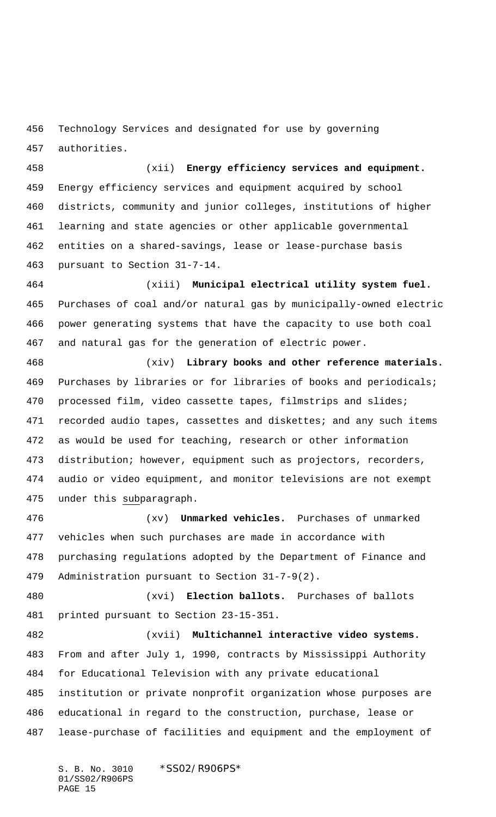Technology Services and designated for use by governing authorities.

 (xii) **Energy efficiency services and equipment.** Energy efficiency services and equipment acquired by school districts, community and junior colleges, institutions of higher learning and state agencies or other applicable governmental entities on a shared-savings, lease or lease-purchase basis pursuant to Section 31-7-14.

 (xiii) **Municipal electrical utility system fuel.** Purchases of coal and/or natural gas by municipally-owned electric power generating systems that have the capacity to use both coal and natural gas for the generation of electric power.

 (xiv) **Library books and other reference materials.** Purchases by libraries or for libraries of books and periodicals; processed film, video cassette tapes, filmstrips and slides; 471 recorded audio tapes, cassettes and diskettes; and any such items as would be used for teaching, research or other information distribution; however, equipment such as projectors, recorders, audio or video equipment, and monitor televisions are not exempt 475 under this subparagraph.

 (xv) **Unmarked vehicles.** Purchases of unmarked vehicles when such purchases are made in accordance with purchasing regulations adopted by the Department of Finance and Administration pursuant to Section 31-7-9(2).

 (xvi) **Election ballots.** Purchases of ballots printed pursuant to Section 23-15-351.

 (xvii) **Multichannel interactive video systems.** From and after July 1, 1990, contracts by Mississippi Authority for Educational Television with any private educational institution or private nonprofit organization whose purposes are educational in regard to the construction, purchase, lease or lease-purchase of facilities and equipment and the employment of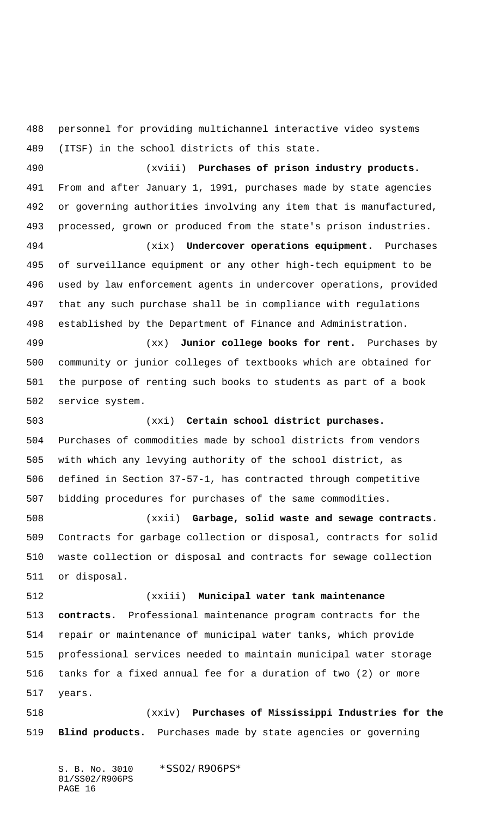personnel for providing multichannel interactive video systems (ITSF) in the school districts of this state.

 (xviii) **Purchases of prison industry products.** From and after January 1, 1991, purchases made by state agencies or governing authorities involving any item that is manufactured, processed, grown or produced from the state's prison industries.

 (xix) **Undercover operations equipment.** Purchases of surveillance equipment or any other high-tech equipment to be used by law enforcement agents in undercover operations, provided that any such purchase shall be in compliance with regulations established by the Department of Finance and Administration.

 (xx) **Junior college books for rent.** Purchases by community or junior colleges of textbooks which are obtained for the purpose of renting such books to students as part of a book service system.

 (xxi) **Certain school district purchases.** Purchases of commodities made by school districts from vendors with which any levying authority of the school district, as defined in Section 37-57-1, has contracted through competitive bidding procedures for purchases of the same commodities.

 (xxii) **Garbage, solid waste and sewage contracts.** Contracts for garbage collection or disposal, contracts for solid waste collection or disposal and contracts for sewage collection or disposal.

 (xxiii) **Municipal water tank maintenance contracts.** Professional maintenance program contracts for the repair or maintenance of municipal water tanks, which provide professional services needed to maintain municipal water storage tanks for a fixed annual fee for a duration of two (2) or more years.

 (xxiv) **Purchases of Mississippi Industries for the Blind products.** Purchases made by state agencies or governing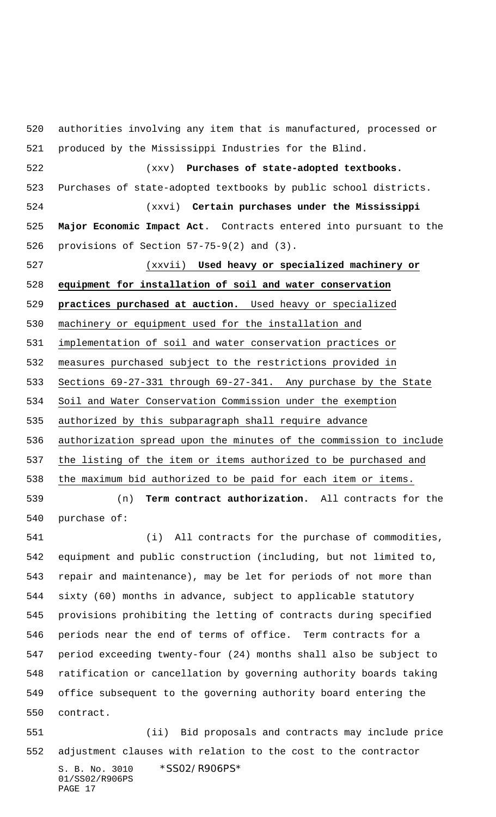S. B. No. 3010 \*SS02/R906PS\* authorities involving any item that is manufactured, processed or produced by the Mississippi Industries for the Blind. (xxv) **Purchases of state-adopted textbooks.** Purchases of state-adopted textbooks by public school districts. (xxvi) **Certain purchases under the Mississippi Major Economic Impact Act**. Contracts entered into pursuant to the provisions of Section 57-75-9(2) and (3). (xxvii) **Used heavy or specialized machinery or equipment for installation of soil and water conservation practices purchased at auction.** Used heavy or specialized machinery or equipment used for the installation and implementation of soil and water conservation practices or measures purchased subject to the restrictions provided in Sections 69-27-331 through 69-27-341. Any purchase by the State Soil and Water Conservation Commission under the exemption authorized by this subparagraph shall require advance authorization spread upon the minutes of the commission to include the listing of the item or items authorized to be purchased and the maximum bid authorized to be paid for each item or items. (n) **Term contract authorization.** All contracts for the purchase of: (i) All contracts for the purchase of commodities, equipment and public construction (including, but not limited to, repair and maintenance), may be let for periods of not more than sixty (60) months in advance, subject to applicable statutory provisions prohibiting the letting of contracts during specified periods near the end of terms of office. Term contracts for a period exceeding twenty-four (24) months shall also be subject to ratification or cancellation by governing authority boards taking office subsequent to the governing authority board entering the contract. (ii) Bid proposals and contracts may include price adjustment clauses with relation to the cost to the contractor

01/SS02/R906PS PAGE 17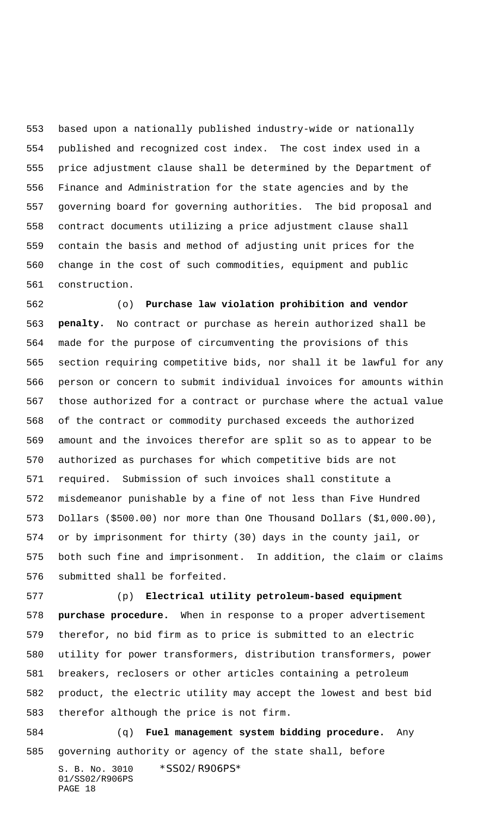based upon a nationally published industry-wide or nationally published and recognized cost index. The cost index used in a price adjustment clause shall be determined by the Department of Finance and Administration for the state agencies and by the governing board for governing authorities. The bid proposal and contract documents utilizing a price adjustment clause shall contain the basis and method of adjusting unit prices for the change in the cost of such commodities, equipment and public construction.

 (o) **Purchase law violation prohibition and vendor penalty.** No contract or purchase as herein authorized shall be made for the purpose of circumventing the provisions of this section requiring competitive bids, nor shall it be lawful for any person or concern to submit individual invoices for amounts within those authorized for a contract or purchase where the actual value of the contract or commodity purchased exceeds the authorized amount and the invoices therefor are split so as to appear to be authorized as purchases for which competitive bids are not required. Submission of such invoices shall constitute a misdemeanor punishable by a fine of not less than Five Hundred Dollars (\$500.00) nor more than One Thousand Dollars (\$1,000.00), or by imprisonment for thirty (30) days in the county jail, or both such fine and imprisonment. In addition, the claim or claims submitted shall be forfeited.

 (p) **Electrical utility petroleum-based equipment purchase procedure.** When in response to a proper advertisement therefor, no bid firm as to price is submitted to an electric utility for power transformers, distribution transformers, power breakers, reclosers or other articles containing a petroleum product, the electric utility may accept the lowest and best bid therefor although the price is not firm.

 (q) **Fuel management system bidding procedure.** Any governing authority or agency of the state shall, before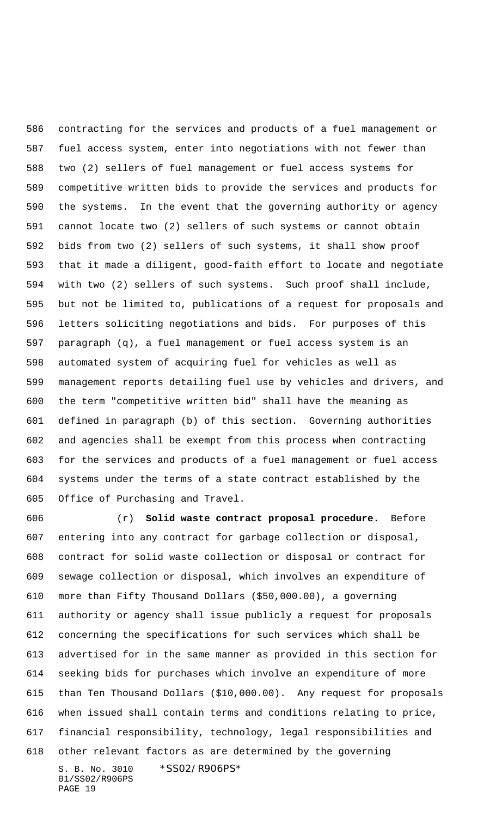contracting for the services and products of a fuel management or fuel access system, enter into negotiations with not fewer than two (2) sellers of fuel management or fuel access systems for competitive written bids to provide the services and products for the systems. In the event that the governing authority or agency cannot locate two (2) sellers of such systems or cannot obtain bids from two (2) sellers of such systems, it shall show proof that it made a diligent, good-faith effort to locate and negotiate with two (2) sellers of such systems. Such proof shall include, but not be limited to, publications of a request for proposals and letters soliciting negotiations and bids. For purposes of this paragraph (q), a fuel management or fuel access system is an automated system of acquiring fuel for vehicles as well as management reports detailing fuel use by vehicles and drivers, and the term "competitive written bid" shall have the meaning as defined in paragraph (b) of this section. Governing authorities and agencies shall be exempt from this process when contracting for the services and products of a fuel management or fuel access systems under the terms of a state contract established by the Office of Purchasing and Travel.

S. B. No. 3010 \*SS02/R906PS\* 01/SS02/R906PS (r) **Solid waste contract proposal procedure.** Before entering into any contract for garbage collection or disposal, contract for solid waste collection or disposal or contract for sewage collection or disposal, which involves an expenditure of more than Fifty Thousand Dollars (\$50,000.00), a governing authority or agency shall issue publicly a request for proposals concerning the specifications for such services which shall be advertised for in the same manner as provided in this section for seeking bids for purchases which involve an expenditure of more than Ten Thousand Dollars (\$10,000.00). Any request for proposals when issued shall contain terms and conditions relating to price, financial responsibility, technology, legal responsibilities and other relevant factors as are determined by the governing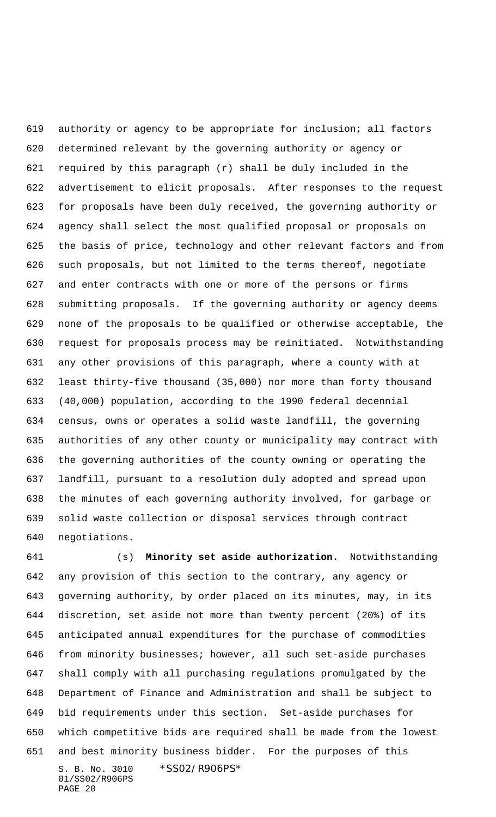authority or agency to be appropriate for inclusion; all factors determined relevant by the governing authority or agency or required by this paragraph (r) shall be duly included in the advertisement to elicit proposals. After responses to the request for proposals have been duly received, the governing authority or agency shall select the most qualified proposal or proposals on the basis of price, technology and other relevant factors and from such proposals, but not limited to the terms thereof, negotiate and enter contracts with one or more of the persons or firms submitting proposals. If the governing authority or agency deems none of the proposals to be qualified or otherwise acceptable, the request for proposals process may be reinitiated. Notwithstanding any other provisions of this paragraph, where a county with at least thirty-five thousand (35,000) nor more than forty thousand (40,000) population, according to the 1990 federal decennial census, owns or operates a solid waste landfill, the governing authorities of any other county or municipality may contract with the governing authorities of the county owning or operating the landfill, pursuant to a resolution duly adopted and spread upon the minutes of each governing authority involved, for garbage or solid waste collection or disposal services through contract negotiations.

S. B. No. 3010 \*SS02/R906PS\* 01/SS02/R906PS (s) **Minority set aside authorization.** Notwithstanding any provision of this section to the contrary, any agency or governing authority, by order placed on its minutes, may, in its discretion, set aside not more than twenty percent (20%) of its anticipated annual expenditures for the purchase of commodities from minority businesses; however, all such set-aside purchases shall comply with all purchasing regulations promulgated by the Department of Finance and Administration and shall be subject to bid requirements under this section. Set-aside purchases for which competitive bids are required shall be made from the lowest and best minority business bidder. For the purposes of this